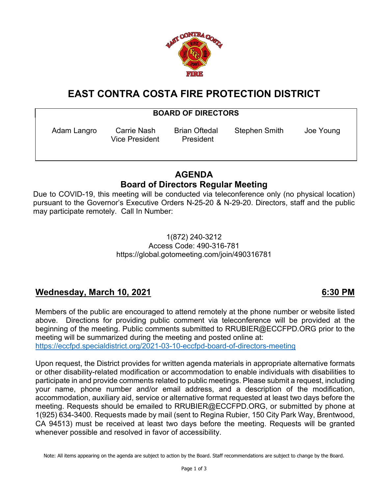

# **EAST CONTRA COSTA FIRE PROTECTION DISTRICT**

## **BOARD OF DIRECTORS**

Vice President President

Adam Langro Carrie Nash Brian Oftedal Stephen Smith Joe Young

# **AGENDA Board of Directors Regular Meeting**

Due to COVID-19, this meeting will be conducted via teleconference only (no physical location) pursuant to the Governor's Executive Orders N-25-20 & N-29-20. Directors, staff and the public may participate remotely. Call In Number:

> 1(872) 240-3212 Access Code: 490-316-781 https://global.gotomeeting.com/join/490316781

## **Wednesday, March 10, 2021 6:30 PM**

Members of the public are encouraged to attend remotely at the phone number or website listed above. Directions for providing public comment via teleconference will be provided at the beginning of the meeting. Public comments submitted to RRUBIER@ECCFPD.ORG prior to the meeting will be summarized during the meeting and posted online at: <https://eccfpd.specialdistrict.org/2021-03-10-eccfpd-board-of-directors-meeting>

Upon request, the District provides for written agenda materials in appropriate alternative formats or other disability-related modification or accommodation to enable individuals with disabilities to participate in and provide comments related to public meetings. Please submit a request, including your name, phone number and/or email address, and a description of the modification, accommodation, auxiliary aid, service or alternative format requested at least two days before the meeting. Requests should be emailed to RRUBIER@ECCFPD.ORG, or submitted by phone at 1(925) 634-3400. Requests made by mail (sent to Regina Rubier, 150 City Park Way, Brentwood, CA 94513) must be received at least two days before the meeting. Requests will be granted whenever possible and resolved in favor of accessibility.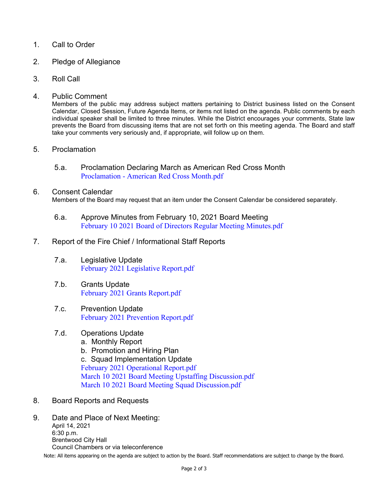- 1. Call to Order
- 2. Pledge of Allegiance
- 3. Roll Call
- 4. Public Comment

Members of the public may address subject matters pertaining to District business listed on the Consent Calendar, Closed Session, Future Agenda Items, or items not listed on the agenda. Public comments by each individual speaker shall be limited to three minutes. While the District encourages your comments, State law prevents the Board from discussing items that are not set forth on this meeting agenda. The Board and staff take your comments very seriously and, if appropriate, will follow up on them.

- 5. Proclamation
	- 5.a. Proclamation Declaring March as American Red Cross Month Proclamation - [American Red Cross Month.pdf](https://legistarweb-production.s3.amazonaws.com/uploads/attachment/pdf/847621/Proclamation_-_American_Red_Cross_Month.pdf)

#### 6. Consent Calendar

Members of the Board may request that an item under the Consent Calendar be considered separately.

6.a. Approve Minutes from February 10, 2021 Board Meeting [February 10 2021 Board of Directors Regular Meeting Minutes.pdf](https://legistarweb-production.s3.amazonaws.com/uploads/attachment/pdf/848313/February_10_2021_Board_of_Directors_Regular_Meeting_Minutes.pdf)

#### 7. Report of the Fire Chief / Informational Staff Reports

- 7.a. Legislative Update [February 2021 Legislative Report.pdf](https://legistarweb-production.s3.amazonaws.com/uploads/attachment/pdf/847615/February_2021_Legislative_Report.pdf)
- 7.b. Grants Update [February 2021 Grants Report.pdf](https://legistarweb-production.s3.amazonaws.com/uploads/attachment/pdf/847609/February_2021_Grants_Report.pdf)
- 7.c. Prevention Update [February 2021 Prevention Report.pdf](https://legistarweb-production.s3.amazonaws.com/uploads/attachment/pdf/847610/February_2021_Prevention_Report.pdf)

## 7.d. Operations Update

- a. Monthly Report
- b. Promotion and Hiring Plan
- c. Squad Implementation Update [February 2021 Operational Report.pdf](https://legistarweb-production.s3.amazonaws.com/uploads/attachment/pdf/847611/February_2021_Operational_Report.pdf) [March 10 2021 Board Meeting Upstaffing Discussion.pdf](https://legistarweb-production.s3.amazonaws.com/uploads/attachment/pdf/848370/March_10_2021_Board_Meeting_Upstaffing_Discussion.pdf) [March 10 2021 Board Meeting Squad Discussion.pdf](https://legistarweb-production.s3.amazonaws.com/uploads/attachment/pdf/848369/March_10_2021_Board_Meeting_Squad_Discussion.pdf)
- 8. Board Reports and Requests
- 9. Date and Place of Next Meeting: April 14, 2021 6:30 p.m. Brentwood City Hall Council Chambers or via teleconference

Note: All items appearing on the agenda are subject to action by the Board. Staff recommendations are subject to change by the Board.